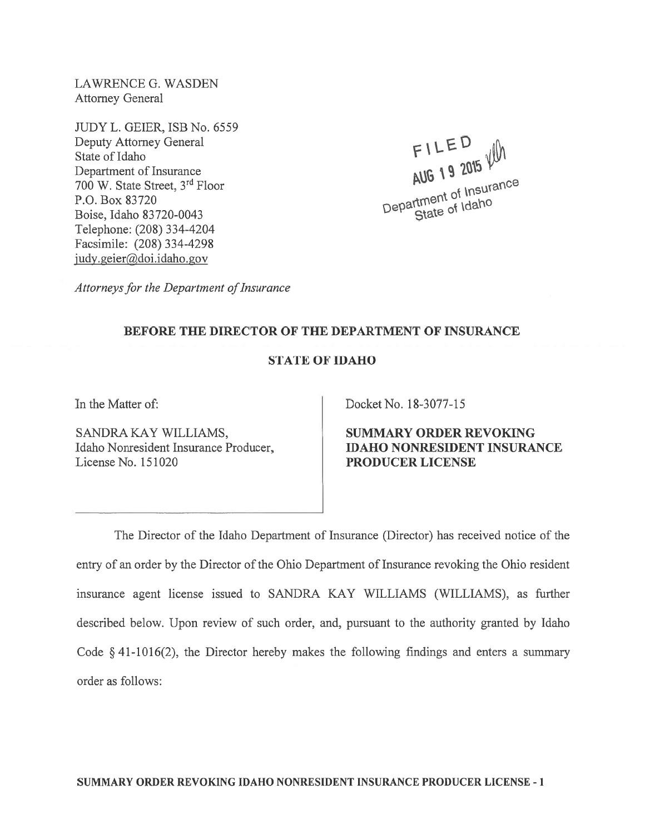LAWRENCE G. WASDEN Attorney General

JUDY L. GEIER, ISB No. 6559 Deputy Attorney General State of Idaho Department of Insurance <sup>700</sup> W. State Street, 3rd Floor P.O. Box 83720 Boise, Idaho 83 720-0043 Telephone: (208) 334-4204 Facsimile: (208) 334-4298 judy.geier@doi.idaho.gov

FILED AUG 19 2015 VIII  $c_{\rm sc}$  $c_{\rm H}$ Department

Attorneys for the Department of Insurance

## BEFORE THE DIRECTOR OF THE DEPARTMENT OF INSURANCE

## STATE OF IDAHO

In the Matter of:

SANDRA KAY WILLIAMS, Idaho Nonresident Insurance Producer, License No. 151020

Docket No. 18-3077-15

SUMMARY ORDER REVOKING IDAHO NONRESIDENT INSURANCE PRODUCER LICENSE

The Director of the Idaho Department of Insurance (Director) has received notice of the entry of an order by the Director of the Ohio Department of Insurance revoking the Ohio resident insurance agen<sup>t</sup> license issued to SANDRA KAY WILLIAMS (WILLIAMS), as further described below. Upon review of such order, and, pursuan<sup>t</sup> to the authority granted by Idaho Code § 41-1016(2), the Director hereby makes the following findings and enters <sup>a</sup> summary order as follows: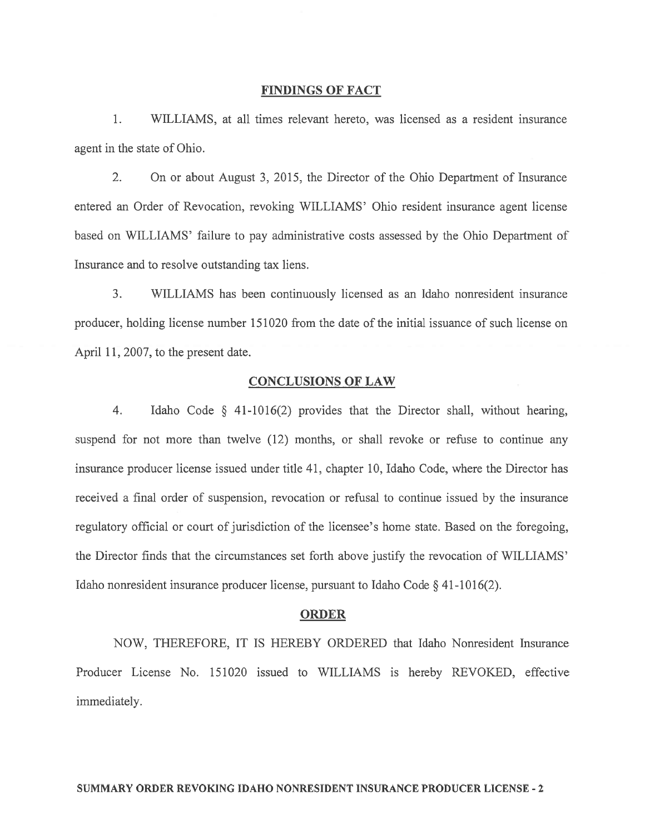#### FINDINGS OF FACT

1. WILLIAMS, at all times relevant hereto, was licensed as <sup>a</sup> resident insurance agen<sup>t</sup> in the state of Ohio.

2. On or about August 3, 2015, the Director of the Ohio Department of Insurance entered an Order of Revocation, revoking WILLIAMS' Ohio resident insurance agen<sup>t</sup> license based on WILLIAMS' failure to pay administrative costs assessed by the Ohio Department of Insurance and to resolve outstanding tax liens.

3. WILLIAMS has been continuously licensed as an Idaho nonresident insurance producer, holding license number 151020 from the date of the initial issuance of such license on April 11, 2007, to the presen<sup>t</sup> date.

## CONCLUSIONS OF LAW

4. Idaho Code § 41-1016(2) provides that the Director shall, without hearing, suspend for not more than twelve (12) months, or shall revoke or refuse to continue any insurance producer license issued under title 41, chapter 10, Idaho Code, where the Director has received <sup>a</sup> final order of suspension, revocation or refusal to continue issued by the insurance regulatory official or court of jurisdiction of the licensee's home state. Based on the foregoing, the Director finds that the circumstances set forth above justify the revocation of WILLIAMS' Idaho nonresident insurance producer license, pursuan<sup>t</sup> to Idaho Code § 41-1016(2).

#### ORDER

NOW, THEREFORE, IT IS HEREBY ORDERED that Idaho Nonresident Insurance Producer License No. 151020 issued to WILLIAMS is hereby REVOKED, effective immediately.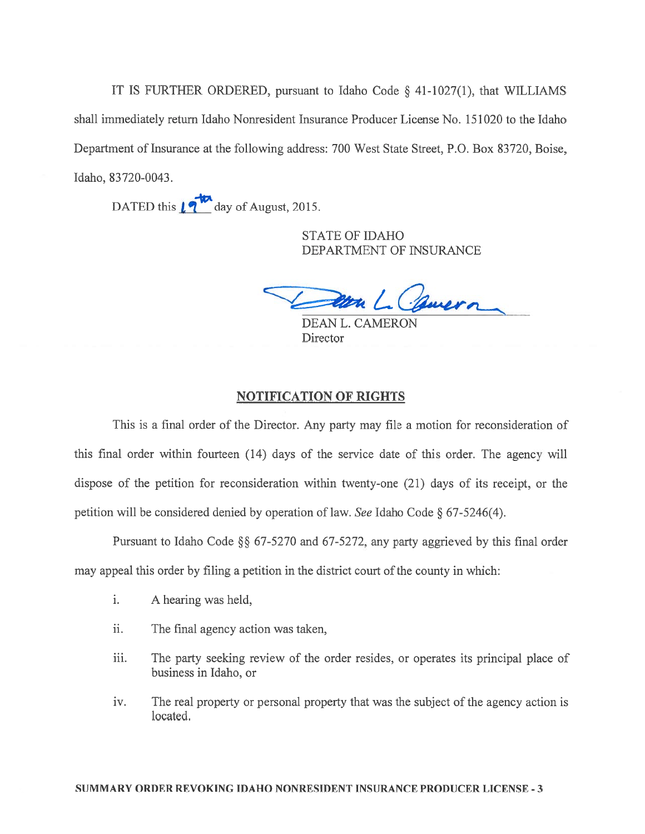IT IS FURTHER ORDERED, pursuan<sup>t</sup> to Idaho Code § 41-1027(1), that WILLIAMS shall immediately return Idaho Nonresident Insurance Producer License No. 151020 to the Idaho Department of Insurance at the following address: 700 West State Street, P.O. Box 83720, Boise, Idaho, 83720-0043.

DATED this  $\sqrt{\frac{1}{2}}$  day of August, 2015.

STATE OF IDAHO DEPARTMENT OF INSURANCE

Jan L. Comera

DEAN L. CAMERON **Director** 

# NOTIFICATION OF RIGHTS

This is <sup>a</sup> final order of the Director. Any party may file <sup>a</sup> motion for reconsideration of this final order within fourteen (14) days of the service date of this order. The agency will dispose of the petition for reconsideration within twenty-one (21) days of its receipt, or the petition will be considered denied by operation of law. See Idaho Code § 67-5246(4).

Pursuant to Idaho Code  $\S$ § 67-5270 and 67-5272, any party aggrieved by this final order may appeal this order by filing <sup>a</sup> petition in the district court of the county in which:

- i. A hearing was held,
- ii. The final agency action was taken,
- iii. The party seeking review of the order resides, or operates its principal place of business in Idaho, or
- iv. The real property or personal property that was the subject of the agency action is located.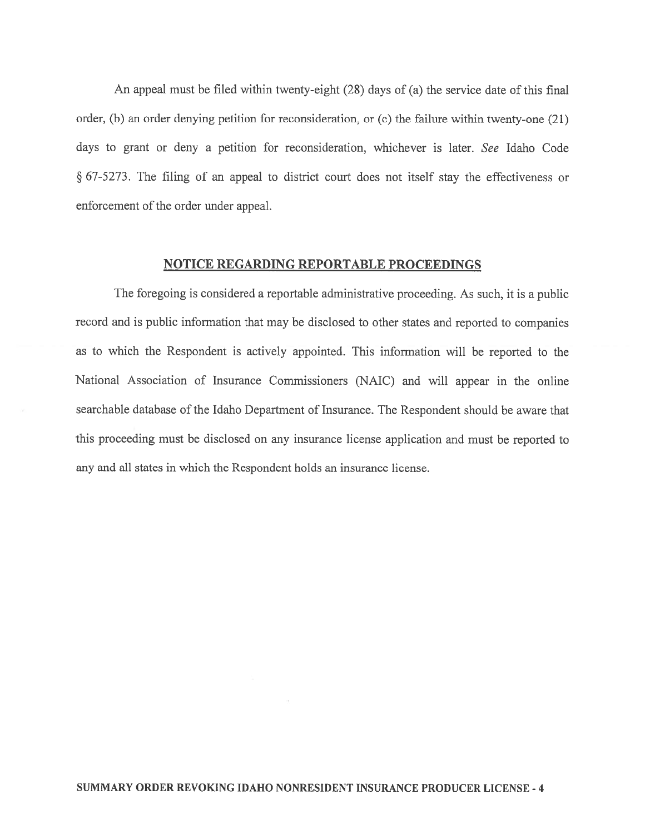An appeal must be filed within twenty-eight (28) days of (a) the service date of this final order, (b) an order denying petition for reconsideration, or (c) the failure within twenty-one (21) days to gran<sup>t</sup> or deny <sup>a</sup> petition for reconsideration, whichever is later. See Idaho Code § 67-5273. The filing of an appea<sup>l</sup> to district court does not itself stay the effectiveness or enforcement of the order under appeal.

### NOTICE REGARDING REPORTABLE PROCEEDINGS

The foregoing is considered <sup>a</sup> reportable administrative proceeding. As such, it is <sup>a</sup> public record and is public information that may be disclosed to other states and reported to companies as to which the Respondent is actively appointed. This information will be reported to the National Association of Insurance Commissioners (NAIC) and will appear in the online searchable database of the Idaho Department of Insurance. The Respondent should be aware that this proceeding must be disclosed on any insurance license application and must be reported to any and all states in which the Respondent holds an insurance license.